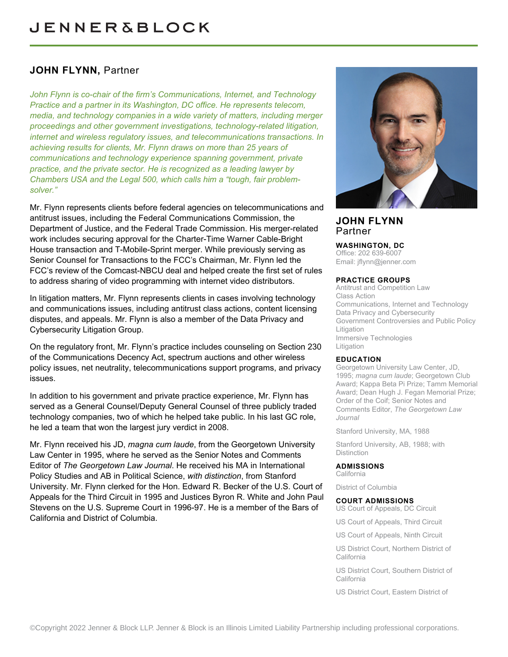## **JOHN FLYNN,** Partner

*John Flynn is co-chair of the firm's Communications, Internet, and Technology Practice and a partner in its Washington, DC office. He represents telecom, media, and technology companies in a wide variety of matters, including merger proceedings and other government investigations, technology-related litigation, internet and wireless regulatory issues, and telecommunications transactions. In achieving results for clients, Mr. Flynn draws on more than 25 years of communications and technology experience spanning government, private practice, and the private sector. He is recognized as a leading lawyer by Chambers USA and the Legal 500, which calls him a "tough, fair problemsolver."*

Mr. Flynn represents clients before federal agencies on telecommunications and antitrust issues, including the Federal Communications Commission, the Department of Justice, and the Federal Trade Commission. His merger-related work includes securing approval for the Charter-Time Warner Cable-Bright House transaction and T-Mobile-Sprint merger. While previously serving as Senior Counsel for Transactions to the FCC's Chairman, Mr. Flynn led the FCC's review of the Comcast-NBCU deal and helped create the first set of rules to address sharing of video programming with internet video distributors.

In litigation matters, Mr. Flynn represents clients in cases involving technology and communications issues, including antitrust class actions, content licensing disputes, and appeals. Mr. Flynn is also a member of the Data Privacy and Cybersecurity Litigation Group.

On the regulatory front, Mr. Flynn's practice includes counseling on Section 230 of the Communications Decency Act, spectrum auctions and other wireless policy issues, net neutrality, telecommunications support programs, and privacy issues.

In addition to his government and private practice experience, Mr. Flynn has served as a General Counsel/Deputy General Counsel of three publicly traded technology companies, two of which he helped take public. In his last GC role, he led a team that won the largest jury verdict in 2008.

Mr. Flynn received his JD, *magna cum laude*, from the Georgetown University Law Center in 1995, where he served as the Senior Notes and Comments Editor of *The Georgetown Law Journal*. He received his MA in International Policy Studies and AB in Political Science, *with distinction*, from Stanford University. Mr. Flynn clerked for the Hon. Edward R. Becker of the U.S. Court of Appeals for the Third Circuit in 1995 and Justices Byron R. White and John Paul Stevens on the U.S. Supreme Court in 1996-97. He is a member of the Bars of California and District of Columbia.



## **JOHN FLYNN** Partner

**WASHINGTON, DC**

Office: 202 639-6007 Email: [jflynn@jenner.com](mailto:jflynn@jenner.com)

#### **PRACTICE GROUPS**

Antitrust and Competition Law Class Action Communications, Internet and Technology Data Privacy and Cybersecurity Government Controversies and Public Policy Litigation Immersive Technologies Litigation

#### **EDUCATION**

Georgetown University Law Center, JD, 1995; *magna cum laude*; Georgetown Club Award; Kappa Beta Pi Prize; Tamm Memorial Award; Dean Hugh J. Fegan Memorial Prize; Order of the Coif; Senior Notes and Comments Editor, *The Georgetown Law Journal*

Stanford University, MA, 1988

Stanford University, AB, 1988; with Distinction

#### **ADMISSIONS**

California

District of Columbia

#### **COURT ADMISSIONS**

US Court of Appeals, DC Circuit

US Court of Appeals, Third Circuit

US Court of Appeals, Ninth Circuit

US District Court, Northern District of California

US District Court, Southern District of California

US District Court, Eastern District of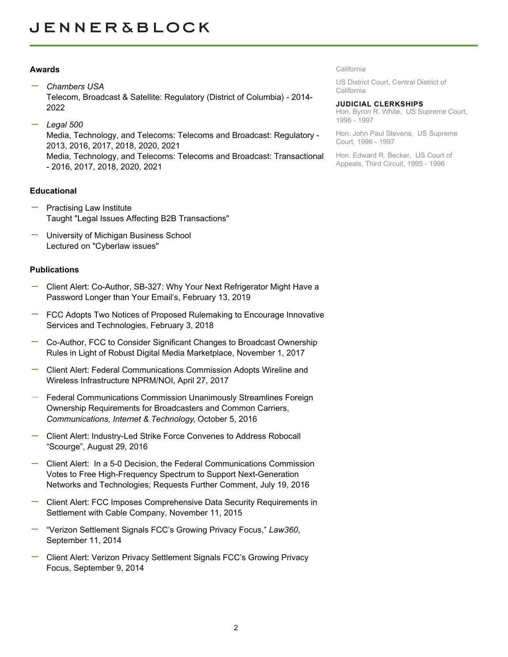# **JENNER&BLOCK**

### **Awards**

- *Chambers USA* Telecom, Broadcast & Satellite: Regulatory (District of Columbia) - 2014- 2022
- *Legal 500*

Media, Technology, and Telecoms: Telecoms and Broadcast: Regulatory - 2013, 2016, 2017, 2018, 2020, 2021

Media, Technology, and Telecoms: Telecoms and Broadcast: Transactional - 2016, 2017, 2018, 2020, 2021

#### **Educational**

- Practising Law Institute Taught "Legal Issues Affecting B2B Transactions"
- University of Michigan Business School Lectured on "Cyberlaw issues"

#### **Publications**

- Client Alert: Co-Author, SB-327: Why Your Next Refrigerator Might Have a Password Longer than Your Email's, February 13, 2019
- $\overline{C}$  FCC Adopts Two Notices of Proposed Rulemaking to Encourage Innovative Services and Technologies, February 3, 2018
- Co-Author, FCC to Consider Significant Changes to Broadcast Ownership Rules in Light of Robust Digital Media Marketplace, November 1, 2017
- Client Alert: Federal Communications Commission Adopts Wireline and Wireless Infrastructure NPRM/NOI, April 27, 2017
- Federal Communications Commission Unanimously Streamlines Foreign Ownership Requirements for Broadcasters and Common Carriers, *Communications, Internet & Technology*, October 5, 2016
- Client Alert: Industry-Led Strike Force Convenes to Address Robocall "Scourge", August 29, 2016
- Client Alert: In a 5-0 Decision, the Federal Communications Commission Votes to Free High-Frequency Spectrum to Support Next-Generation Networks and Technologies; Requests Further Comment, July 19, 2016
- Client Alert: FCC Imposes Comprehensive Data Security Requirements in Settlement with Cable Company, November 11, 2015
- "Verizon Settlement Signals FCC's Growing Privacy Focus," *Law360*, September 11, 2014
- Client Alert: Verizon Privacy Settlement Signals FCC's Growing Privacy Focus, September 9, 2014

**California** 

US District Court, Central District of **California** 

## **JUDICIAL CLERKSHIPS**

Hon. Byron R. White, US Supreme Court, 1996 - 1997

Hon. John Paul Stevens, US Supreme Court, 1996 - 1997

Hon. Edward R. Becker, US Court of Appeals, Third Circuit, 1995 - 1996